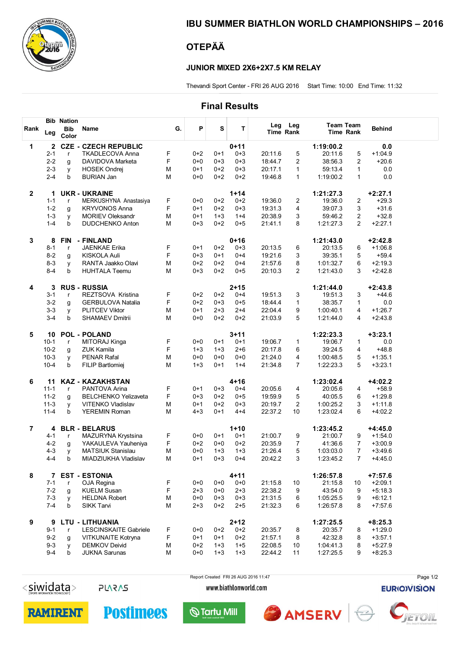

### IBU SUMMER BIATHLON WORLD CHAMPIONSHIPS – 2016

## OTEPÄÄ

#### JUNIOR MIXED 2X6+2X7.5 KM RELAY

Thevandi Sport Center - FRI 26 AUG 2016 Start Time: 10:00 End Time: 11:32

### Final Results

|                |          | <b>Bib Nation</b>   |                             |    |         |         |          |         |                         |                                      |                |               |  |
|----------------|----------|---------------------|-----------------------------|----|---------|---------|----------|---------|-------------------------|--------------------------------------|----------------|---------------|--|
| Rank           | Leg      | <b>Bib</b><br>Color | Name                        | G. | P       | S       | Т        | Leg     | Leg<br><b>Time Rank</b> | <b>Team Team</b><br><b>Time Rank</b> |                | <b>Behind</b> |  |
| 1              | 2        | <b>CZE</b>          | - CZECH REPUBLIC            |    |         |         | $0 + 11$ |         |                         | 1:19:00.2                            |                | 0.0           |  |
|                | $2 - 1$  | $\mathsf{r}$        | <b>TKADLECOVA Anna</b>      | F  | $0+2$   | $0+1$   | $0 + 3$  | 20:11.6 | 5                       | 20:11.6                              | 5              | $+1:04.9$     |  |
|                | $2 - 2$  | g                   | DAVIDOVA Marketa            | F  | $0+0$   | $0 + 3$ | $0 + 3$  | 18:44.7 | $\overline{2}$          | 38:56.3                              | $\mathbf{2}$   | $+20.6$       |  |
|                | $2 - 3$  | y                   | <b>HOSEK Ondrei</b>         | M  | $0+1$   | $0+2$   | $0 + 3$  | 20:17.1 | $\mathbf{1}$            | 59:13.4                              | 1              | 0.0           |  |
|                | $2 - 4$  | b                   | <b>BURIAN Jan</b>           | M  | $0 + 0$ | $0+2$   | $0 + 2$  | 19:46.8 | 1                       | 1:19:00.2                            | $\mathbf{1}$   | 0.0           |  |
|                |          |                     |                             |    |         |         |          |         |                         |                                      |                |               |  |
| $\mathbf{2}$   | 1        |                     | <b>UKR - UKRAINE</b>        |    |         |         | $1 + 14$ |         |                         | 1:21:27.3                            |                | $+2:27.1$     |  |
|                | $1 - 1$  | r                   | MERKUSHYNA Anastasiya       | F  | $0 + 0$ | $0+2$   | $0 + 2$  | 19:36.0 | 2                       | 19:36.0                              | 2              | $+29.3$       |  |
|                | $1 - 2$  | g                   | <b>KRYVONOS Anna</b>        | F  | $0 + 1$ | $0 + 2$ | $0 + 3$  | 19:31.3 | 4                       | 39:07.3                              | 3              | $+31.6$       |  |
|                | $1 - 3$  | y                   | <b>MORIEV Oleksandr</b>     | M  | $0+1$   | $1 + 3$ | $1+4$    | 20:38.9 | 3                       | 59:46.2                              | $\overline{2}$ | $+32.8$       |  |
|                | $1 - 4$  | b                   | <b>DUDCHENKO Anton</b>      | M  | $0 + 3$ | $0 + 2$ | $0 + 5$  | 21:41.1 | 8                       | 1:21:27.3                            | $\overline{2}$ | $+2:27.1$     |  |
|                |          |                     |                             |    |         |         |          |         |                         |                                      |                |               |  |
| 3              | 8        | <b>FIN</b>          | - FINLAND                   |    |         |         | $0 + 16$ |         |                         | 1:21:43.0                            |                | $+2:42.8$     |  |
|                | $8 - 1$  | $\mathsf{r}$        | <b>JAENKAE Erika</b>        | F  | $0 + 1$ | $0 + 2$ | 0+3      | 20:13.5 | 6                       | 20:13.5                              | 6              | $+1:06.8$     |  |
|                | $8 - 2$  | g                   | KISKOLA Auli                | F  | $0 + 3$ | $0 + 1$ | $0 + 4$  | 19:21.6 | 3                       | 39:35.1                              | 5              | $+59.4$       |  |
|                | $8 - 3$  | y                   | RANTA Jaakko Olavi          | M  | $0+2$   | $0+2$   | $0 + 4$  | 21:57.6 | 8                       | 1:01:32.7                            | 6              | $+2:19.3$     |  |
|                | $8 - 4$  | b                   | <b>HUHTALA Teemu</b>        | M  | $0 + 3$ | $0 + 2$ | $0 + 5$  | 20:10.3 | $\overline{2}$          | 1:21:43.0                            | 3              | $+2:42.8$     |  |
| 4              | 3        |                     | <b>RUS - RUSSIA</b>         |    |         |         | $2 + 15$ |         |                         | 1:21:44.0                            |                | $+2:43.8$     |  |
|                | $3 - 1$  | $\mathsf{r}$        | REZTSOVA Kristina           | F  | $0 + 2$ | $0+2$   | $0 + 4$  | 19:51.3 | 3                       | 19:51.3                              | 3              | $+44.6$       |  |
|                | $3 - 2$  | g                   | <b>GERBULOVA Natalia</b>    | F  | $0+2$   | $0 + 3$ | $0 + 5$  | 18:44.4 | $\mathbf 1$             | 38:35.7                              | 1              | 0.0           |  |
|                | $3 - 3$  | y                   | <b>PLITCEV Viktor</b>       | M  | $0 + 1$ | $2 + 3$ | $2+4$    | 22:04.4 | 9                       | 1:00:40.1                            | 4              | $+1:26.7$     |  |
|                | $3 - 4$  | b                   | <b>SHAMAEV Dmitrii</b>      | M  | $0 + 0$ | $0+2$   | $0 + 2$  | 21:03.9 | 5                       | 1:21:44.0                            | 4              | $+2:43.8$     |  |
|                |          |                     |                             |    |         |         |          |         |                         |                                      |                |               |  |
| 5              | 10       |                     | <b>POL - POLAND</b>         |    |         |         | $3 + 11$ |         |                         | 1:22:23.3                            |                | $+3:23.1$     |  |
|                | $10-1$   | $\mathsf{r}$        | MITORAJ Kinga               | F  | $0 + 0$ | $0+1$   | $0 + 1$  | 19:06.7 | $\mathbf{1}$            | 19:06.7                              | 1              | 0.0           |  |
|                | $10 - 2$ | g                   | <b>ZUK Kamila</b>           | F  | $1 + 3$ | $1 + 3$ | $2 + 6$  | 20:17.8 | 6                       | 39:24.5                              | 4              | $+48.8$       |  |
|                | $10-3$   | y                   | <b>PENAR Rafal</b>          | M  | $0+0$   | $0+0$   | $0 + 0$  | 21:24.0 | 4                       | 1:00:48.5                            | 5              | $+1:35.1$     |  |
|                | $10 - 4$ | b                   | FILIP Bartlomiej            | M  | $1 + 3$ | $0+1$   | $1+4$    | 21:34.8 | $\overline{7}$          | 1:22:23.3                            | 5              | $+3:23.1$     |  |
| 6              | 11       |                     | <b>KAZ - KAZAKHSTAN</b>     |    |         |         | $4 + 16$ |         |                         | 1:23:02.4                            |                | $+4:02.2$     |  |
|                | $11 - 1$ | $\mathsf{r}$        | PANTOVA Arina               | F  | $0+1$   | $0 + 3$ | $0 + 4$  | 20:05.6 | 4                       | 20:05.6                              | 4              | $+58.9$       |  |
|                | $11-2$   | g                   | <b>BELCHENKO Yelizaveta</b> | F  | $0 + 3$ | $0+2$   | $0 + 5$  | 19:59.9 | 5                       | 40:05.5                              | 6              | $+1:29.8$     |  |
|                | $11-3$   | y                   | <b>VITENKO Vladislav</b>    | M  | $0+1$   | $0+2$   | $0 + 3$  | 20:19.7 | 2                       | 1:00:25.2                            | 3              | $+1:11.8$     |  |
|                | $11 - 4$ | b                   | <b>YEREMIN Roman</b>        | M  | $4 + 3$ | $0+1$   | $4 + 4$  | 22:37.2 | 10                      | 1:23:02.4                            | 6              | $+4:02.2$     |  |
|                |          |                     |                             |    |         |         |          |         |                         |                                      |                |               |  |
| $\overline{7}$ | 4        |                     | <b>BLR - BELARUS</b>        |    |         |         | $1 + 10$ |         |                         | 1:23:45.2                            |                | $+4:45.0$     |  |
|                | 4-1      | $\mathsf{r}$        | MAZURYNA Krystsina          | F  | $0+0$   | $0+1$   | $0 + 1$  | 21:00.7 | 9                       | 21:00.7                              | 9              | $+1:54.0$     |  |
|                | $4 - 2$  | g                   | YAKAULEVA Yauheniya         | F  | $0 + 2$ | $0 + 0$ | $0+2$    | 20:35.9 | 7                       | 41:36.6                              | 7              | $+3:00.9$     |  |
|                | $4 - 3$  | y                   | <b>MATSIUK Stanislau</b>    | M  | $0+0$   | $1 + 3$ | $1 + 3$  | 21:26.4 | 5                       | 1:03:03.0                            | $\overline{7}$ | $+3:49.6$     |  |
|                | $4 - 4$  | b                   | MIADZIUKHA Vladislav        | M  | 0+1     | $0 + 3$ | 0+4      | 20:42.2 | 3                       | 1:23:45.2                            | 7              | $+4:45.0$     |  |
| 8              | 7        |                     | <b>EST - ESTONIA</b>        |    |         |         | $4 + 11$ |         |                         | 1:26:57.8                            |                | $+7:57.6$     |  |
|                | $7 - 1$  | r                   | OJA Regina                  | F  | $0+0$   | $0+0$   | $0+0$    | 21:15.8 | 10                      | 21:15.8                              | 10             | $+2:09.1$     |  |
|                | $7-2$    |                     | <b>KUELM Susan</b>          | F  | $2 + 3$ | $0+0$   | $2 + 3$  | 22:38.2 | 9                       | 43:54.0                              | 9              | $+5:18.3$     |  |
|                | $7 - 3$  | g                   | <b>HELDNA Robert</b>        | М  | $0+0$   | $0 + 3$ | $0 + 3$  | 21:31.5 | 6                       | 1:05:25.5                            | 9              | $+6:12.1$     |  |
|                | $7-4$    | y<br>b              | <b>SIKK Tarvi</b>           | M  | $2 + 3$ | $0+2$   | $2 + 5$  | 21:32.3 | 6                       | 1:26:57.8                            | 8              | $+7:57.6$     |  |
|                |          |                     |                             |    |         |         |          |         |                         |                                      |                |               |  |
| 9              | 9        |                     | <b>LTU - LITHUANIA</b>      |    |         |         | $2 + 12$ |         |                         | 1:27:25.5                            |                | $+8:25.3$     |  |
|                | $9 - 1$  | $\mathsf{r}$        | LESCINSKAITE Gabriele       | F  | $0+0$   | $0+2$   | $0 + 2$  | 20:35.7 | 8                       | 20:35.7                              | 8              | $+1:29.0$     |  |
|                | $9 - 2$  | g                   | <b>VITKUNAITE Kotryna</b>   | F  | $0+1$   | $0+1$   | $0+2$    | 21:57.1 | 8                       | 42:32.8                              | 8              | $+3:57.1$     |  |
|                | $9 - 3$  | y                   | <b>DEMKOV Deivid</b>        | М  | $0 + 2$ | $1 + 3$ | $1 + 5$  | 22:08.5 | 10                      | 1:04:41.3                            | 8              | $+5:27.9$     |  |
|                | $9 - 4$  | b                   | <b>JUKNA Sarunas</b>        | M  | $0+0$   | $1 + 3$ | $1 + 3$  | 22:44.2 | 11                      | 1:27:25.5                            | 9              | $+8:25.3$     |  |

 $<$ siwidata>

**PLARAS** 

**Postimees** 

Report Created FRI 26 AUG 2016 11:47 www.biathlonworld.com

**EURIOIVISION** 

Page 1/2





 $\bigcirc$  Tartu Mill